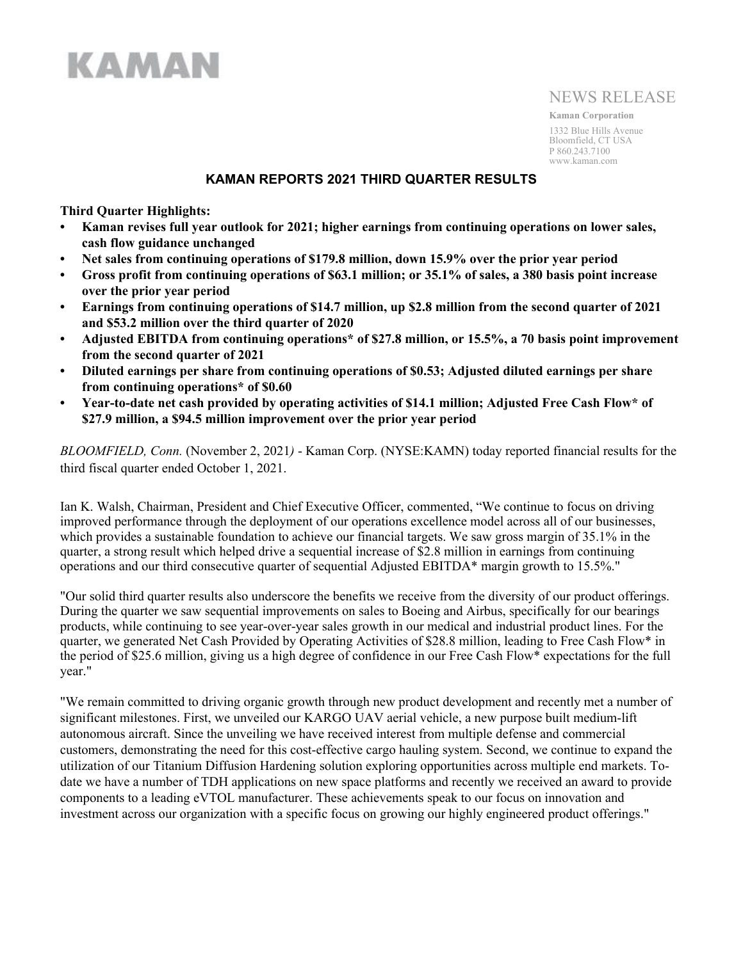# **KAMAN**

## NEWS RELEASE

**Kaman Corporation** 1332 Blue Hills Avenue Bloomfield, CT USA P 860.243.7100 www.kaman.com

## **KAMAN REPORTS 2021 THIRD QUARTER RESULTS**

**Third Quarter Highlights:**

- **• Kaman revises full year outlook for 2021; higher earnings from continuing operations on lower sales, cash flow guidance unchanged**
- **• Net sales from continuing operations of \$179.8 million, down 15.9% over the prior year period**
- **• Gross profit from continuing operations of \$63.1 million; or 35.1% of sales, a 380 basis point increase over the prior year period**
- **• Earnings from continuing operations of \$14.7 million, up \$2.8 million from the second quarter of 2021 and \$53.2 million over the third quarter of 2020**
- **• Adjusted EBITDA from continuing operations\* of \$27.8 million, or 15.5%, a 70 basis point improvement from the second quarter of 2021**
- **• Diluted earnings per share from continuing operations of \$0.53; Adjusted diluted earnings per share from continuing operations\* of \$0.60**
- **• Year-to-date net cash provided by operating activities of \$14.1 million; Adjusted Free Cash Flow\* of \$27.9 million, a \$94.5 million improvement over the prior year period**

*BLOOMFIELD, Conn.* (November 2, 2021*)* - Kaman Corp. (NYSE:KAMN) today reported financial results for the third fiscal quarter ended October 1, 2021.

Ian K. Walsh, Chairman, President and Chief Executive Officer, commented, "We continue to focus on driving improved performance through the deployment of our operations excellence model across all of our businesses, which provides a sustainable foundation to achieve our financial targets. We saw gross margin of 35.1% in the quarter, a strong result which helped drive a sequential increase of \$2.8 million in earnings from continuing operations and our third consecutive quarter of sequential Adjusted EBITDA\* margin growth to 15.5%."

"Our solid third quarter results also underscore the benefits we receive from the diversity of our product offerings. During the quarter we saw sequential improvements on sales to Boeing and Airbus, specifically for our bearings products, while continuing to see year-over-year sales growth in our medical and industrial product lines. For the quarter, we generated Net Cash Provided by Operating Activities of \$28.8 million, leading to Free Cash Flow\* in the period of \$25.6 million, giving us a high degree of confidence in our Free Cash Flow\* expectations for the full year."

"We remain committed to driving organic growth through new product development and recently met a number of significant milestones. First, we unveiled our KARGO UAV aerial vehicle, a new purpose built medium-lift autonomous aircraft. Since the unveiling we have received interest from multiple defense and commercial customers, demonstrating the need for this cost-effective cargo hauling system. Second, we continue to expand the utilization of our Titanium Diffusion Hardening solution exploring opportunities across multiple end markets. Todate we have a number of TDH applications on new space platforms and recently we received an award to provide components to a leading eVTOL manufacturer. These achievements speak to our focus on innovation and investment across our organization with a specific focus on growing our highly engineered product offerings."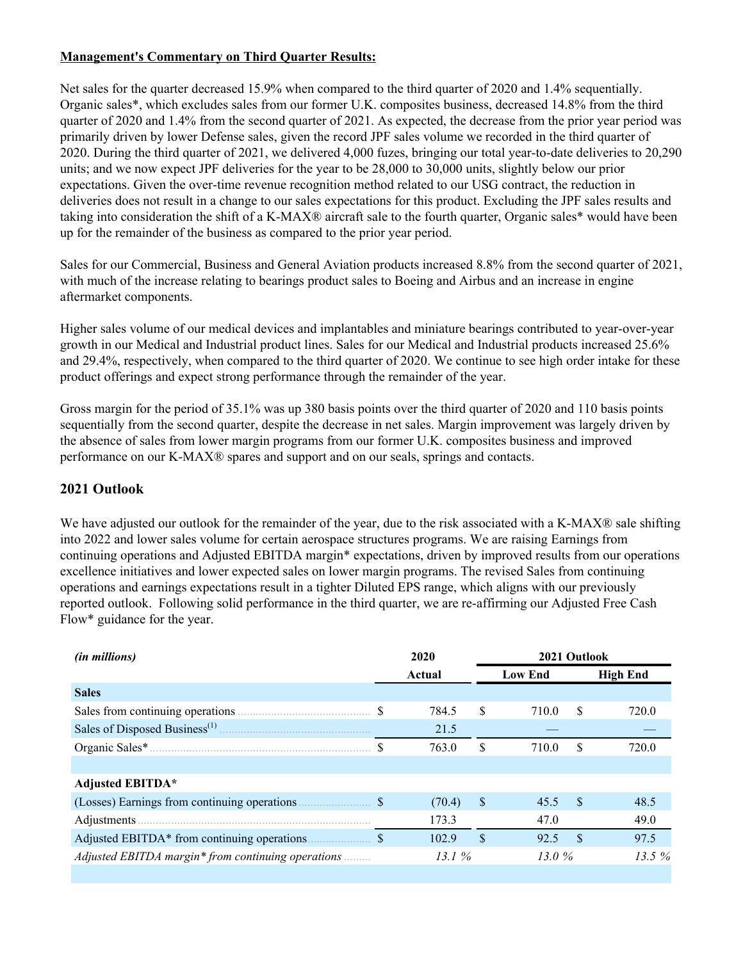## **Management's Commentary on Third Quarter Results:**

Net sales for the quarter decreased 15.9% when compared to the third quarter of 2020 and 1.4% sequentially. Organic sales\*, which excludes sales from our former U.K. composites business, decreased 14.8% from the third quarter of 2020 and 1.4% from the second quarter of 2021. As expected, the decrease from the prior year period was primarily driven by lower Defense sales, given the record JPF sales volume we recorded in the third quarter of 2020. During the third quarter of 2021, we delivered 4,000 fuzes, bringing our total year-to-date deliveries to 20,290 units; and we now expect JPF deliveries for the year to be 28,000 to 30,000 units, slightly below our prior expectations. Given the over-time revenue recognition method related to our USG contract, the reduction in deliveries does not result in a change to our sales expectations for this product. Excluding the JPF sales results and taking into consideration the shift of a K-MAX® aircraft sale to the fourth quarter, Organic sales\* would have been up for the remainder of the business as compared to the prior year period.

Sales for our Commercial, Business and General Aviation products increased 8.8% from the second quarter of 2021, with much of the increase relating to bearings product sales to Boeing and Airbus and an increase in engine aftermarket components.

Higher sales volume of our medical devices and implantables and miniature bearings contributed to year-over-year growth in our Medical and Industrial product lines. Sales for our Medical and Industrial products increased 25.6% and 29.4%, respectively, when compared to the third quarter of 2020. We continue to see high order intake for these product offerings and expect strong performance through the remainder of the year.

Gross margin for the period of 35.1% was up 380 basis points over the third quarter of 2020 and 110 basis points sequentially from the second quarter, despite the decrease in net sales. Margin improvement was largely driven by the absence of sales from lower margin programs from our former U.K. composites business and improved performance on our K-MAX® spares and support and on our seals, springs and contacts.

## **2021 Outlook**

We have adjusted our outlook for the remainder of the year, due to the risk associated with a K-MAX® sale shifting into 2022 and lower sales volume for certain aerospace structures programs. We are raising Earnings from continuing operations and Adjusted EBITDA margin\* expectations, driven by improved results from our operations excellence initiatives and lower expected sales on lower margin programs. The revised Sales from continuing operations and earnings expectations result in a tighter Diluted EPS range, which aligns with our previously reported outlook. Following solid performance in the third quarter, we are re-affirming our Adjusted Free Cash Flow\* guidance for the year.

| <i>(in millions)</i>                               |                           | 2020   |                | 2021 Outlook |                 |       |  |  |  |  |
|----------------------------------------------------|---------------------------|--------|----------------|--------------|-----------------|-------|--|--|--|--|
|                                                    |                           | Actual | <b>Low End</b> |              | <b>High End</b> |       |  |  |  |  |
| <b>Sales</b>                                       |                           |        |                |              |                 |       |  |  |  |  |
|                                                    | <sup>\$</sup>             | 784.5  | S.             | 710.0        | S               | 720.0 |  |  |  |  |
|                                                    |                           | 21.5   |                |              |                 |       |  |  |  |  |
|                                                    |                           | 763.0  | S              | 710.0        | S               | 720.0 |  |  |  |  |
|                                                    |                           |        |                |              |                 |       |  |  |  |  |
| <b>Adjusted EBITDA*</b>                            |                           |        |                |              |                 |       |  |  |  |  |
| (Losses) Earnings from continuing operations.      | $\boldsymbol{\mathsf{S}}$ | (70.4) | <sup>\$</sup>  | 45.5         | - \$            | 48.5  |  |  |  |  |
|                                                    |                           | 173.3  |                | 47.0         |                 | 49.0  |  |  |  |  |
| Adjusted EBITDA* from continuing operations.       |                           | 102.9  | \$             | 92.5         | <sup>\$</sup>   | 97.5  |  |  |  |  |
| Adjusted EBITDA margin* from continuing operations |                           | 13.1 % |                | 13.0%        |                 | 13.5% |  |  |  |  |
|                                                    |                           |        |                |              |                 |       |  |  |  |  |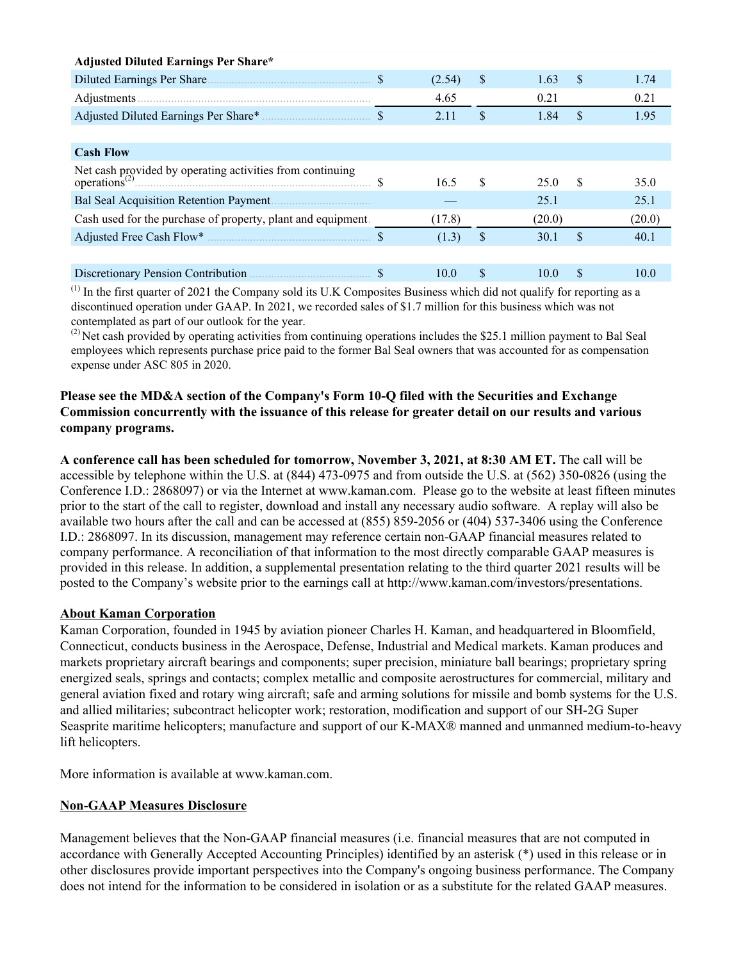| <b>Adjusted Diluted Earnings Per Share*</b>                                                               |        |     |        |               |        |
|-----------------------------------------------------------------------------------------------------------|--------|-----|--------|---------------|--------|
|                                                                                                           | (2.54) | \$  | 1.63   | <sup>\$</sup> | 1.74   |
|                                                                                                           | 4.65   |     | 0.21   |               | 0.21   |
|                                                                                                           | 2.11   | \$  | 1.84   | \$            | 1.95   |
|                                                                                                           |        |     |        |               |        |
| <b>Cash Flow</b>                                                                                          |        |     |        |               |        |
| Net cash provided by operating activities from continuing<br>operations <sup>(2)</sup> $\qquad \qquad$ \$ | 16.5   | \$. | 25.0   | -S            | 35.0   |
| Bal Seal Acquisition Retention Payment                                                                    |        |     | 25.1   |               | 25.1   |
| Cash used for the purchase of property, plant and equipment.                                              | (17.8) |     | (20.0) |               | (20.0) |
|                                                                                                           | (1.3)  | \$  | 30.1   | \$            | 40.1   |
|                                                                                                           |        |     |        |               |        |
| Discretionary Pension Contribution                                                                        | 10.0   | \$  | 10.0   | \$.           | 10 0   |

 $<sup>(1)</sup>$  In the first quarter of 2021 the Company sold its U.K Composites Business which did not qualify for reporting as a</sup> discontinued operation under GAAP. In 2021, we recorded sales of \$1.7 million for this business which was not contemplated as part of our outlook for the year.

 $^{(2)}$  Net cash provided by operating activities from continuing operations includes the \$25.1 million payment to Bal Seal employees which represents purchase price paid to the former Bal Seal owners that was accounted for as compensation expense under ASC 805 in 2020.

## **Please see the MD&A section of the Company's Form 10-Q filed with the Securities and Exchange Commission concurrently with the issuance of this release for greater detail on our results and various company programs.**

**A conference call has been scheduled for tomorrow, November 3, 2021, at 8:30 AM ET.** The call will be accessible by telephone within the U.S. at (844) 473-0975 and from outside the U.S. at (562) 350-0826 (using the Conference I.D.: 2868097) or via the Internet at www.kaman.com. Please go to the website at least fifteen minutes prior to the start of the call to register, download and install any necessary audio software. A replay will also be available two hours after the call and can be accessed at (855) 859-2056 or (404) 537-3406 using the Conference I.D.: 2868097. In its discussion, management may reference certain non-GAAP financial measures related to company performance. A reconciliation of that information to the most directly comparable GAAP measures is provided in this release. In addition, a supplemental presentation relating to the third quarter 2021 results will be posted to the Company's website prior to the earnings call at http://www.kaman.com/investors/presentations.

## **About Kaman Corporation**

Kaman Corporation, founded in 1945 by aviation pioneer Charles H. Kaman, and headquartered in Bloomfield, Connecticut, conducts business in the Aerospace, Defense, Industrial and Medical markets. Kaman produces and markets proprietary aircraft bearings and components; super precision, miniature ball bearings; proprietary spring energized seals, springs and contacts; complex metallic and composite aerostructures for commercial, military and general aviation fixed and rotary wing aircraft; safe and arming solutions for missile and bomb systems for the U.S. and allied militaries; subcontract helicopter work; restoration, modification and support of our SH-2G Super Seasprite maritime helicopters; manufacture and support of our K-MAX® manned and unmanned medium-to-heavy lift helicopters.

More information is available at www.kaman.com.

## **Non-GAAP Measures Disclosure**

Management believes that the Non-GAAP financial measures (i.e. financial measures that are not computed in accordance with Generally Accepted Accounting Principles) identified by an asterisk (\*) used in this release or in other disclosures provide important perspectives into the Company's ongoing business performance. The Company does not intend for the information to be considered in isolation or as a substitute for the related GAAP measures.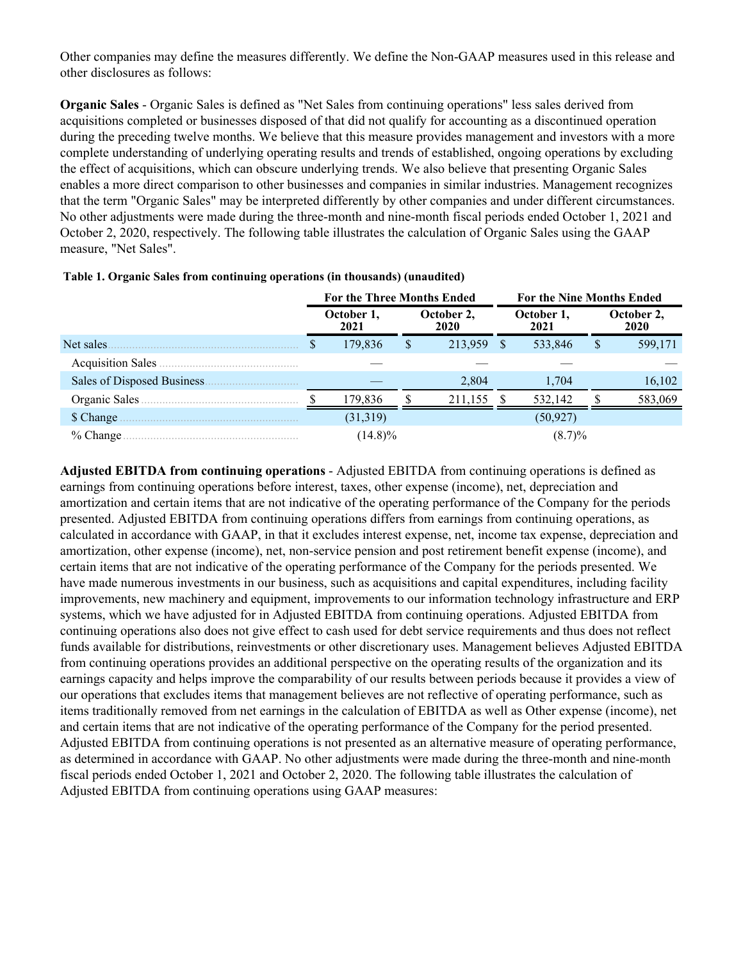Other companies may define the measures differently. We define the Non-GAAP measures used in this release and other disclosures as follows:

**Organic Sales** - Organic Sales is defined as "Net Sales from continuing operations" less sales derived from acquisitions completed or businesses disposed of that did not qualify for accounting as a discontinued operation during the preceding twelve months. We believe that this measure provides management and investors with a more complete understanding of underlying operating results and trends of established, ongoing operations by excluding the effect of acquisitions, which can obscure underlying trends. We also believe that presenting Organic Sales enables a more direct comparison to other businesses and companies in similar industries. Management recognizes that the term "Organic Sales" may be interpreted differently by other companies and under different circumstances. No other adjustments were made during the three-month and nine-month fiscal periods ended October 1, 2021 and October 2, 2020, respectively. The following table illustrates the calculation of Organic Sales using the GAAP measure, "Net Sales".

|                             | <b>For the Three Months Ended</b> |  |                    | <b>For the Nine Months Ended</b> |                    |                    |         |  |  |
|-----------------------------|-----------------------------------|--|--------------------|----------------------------------|--------------------|--------------------|---------|--|--|
|                             | October 1,<br>2021                |  | October 2,<br>2020 |                                  | October 1,<br>2021 | October 2,<br>2020 |         |  |  |
| Net sales.                  | 179,836                           |  | 213,959            | \$.                              | 533,846            | S                  | 599,171 |  |  |
| <b>Acquisition Sales</b>    |                                   |  |                    |                                  |                    |                    |         |  |  |
| Sales of Disposed Business. |                                   |  | 2,804              |                                  | 1,704              |                    | 16,102  |  |  |
| Organic Sales.              | 179,836                           |  | 211.155            |                                  | 532,142            |                    | 583,069 |  |  |
| \$ Change                   | (31,319)                          |  |                    |                                  | (50, 927)          |                    |         |  |  |
| $%$ Change                  | $(14.8)\%$                        |  |                    |                                  | $(8.7)\%$          |                    |         |  |  |

| Table 1. Organic Sales from continuing operations (in thousands) (unaudited) |  |  |  |  |  |
|------------------------------------------------------------------------------|--|--|--|--|--|
|------------------------------------------------------------------------------|--|--|--|--|--|

**Adjusted EBITDA from continuing operations** - Adjusted EBITDA from continuing operations is defined as earnings from continuing operations before interest, taxes, other expense (income), net, depreciation and amortization and certain items that are not indicative of the operating performance of the Company for the periods presented. Adjusted EBITDA from continuing operations differs from earnings from continuing operations, as calculated in accordance with GAAP, in that it excludes interest expense, net, income tax expense, depreciation and amortization, other expense (income), net, non-service pension and post retirement benefit expense (income), and certain items that are not indicative of the operating performance of the Company for the periods presented. We have made numerous investments in our business, such as acquisitions and capital expenditures, including facility improvements, new machinery and equipment, improvements to our information technology infrastructure and ERP systems, which we have adjusted for in Adjusted EBITDA from continuing operations. Adjusted EBITDA from continuing operations also does not give effect to cash used for debt service requirements and thus does not reflect funds available for distributions, reinvestments or other discretionary uses. Management believes Adjusted EBITDA from continuing operations provides an additional perspective on the operating results of the organization and its earnings capacity and helps improve the comparability of our results between periods because it provides a view of our operations that excludes items that management believes are not reflective of operating performance, such as items traditionally removed from net earnings in the calculation of EBITDA as well as Other expense (income), net and certain items that are not indicative of the operating performance of the Company for the period presented. Adjusted EBITDA from continuing operations is not presented as an alternative measure of operating performance, as determined in accordance with GAAP. No other adjustments were made during the three-month and nine-month fiscal periods ended October 1, 2021 and October 2, 2020. The following table illustrates the calculation of Adjusted EBITDA from continuing operations using GAAP measures: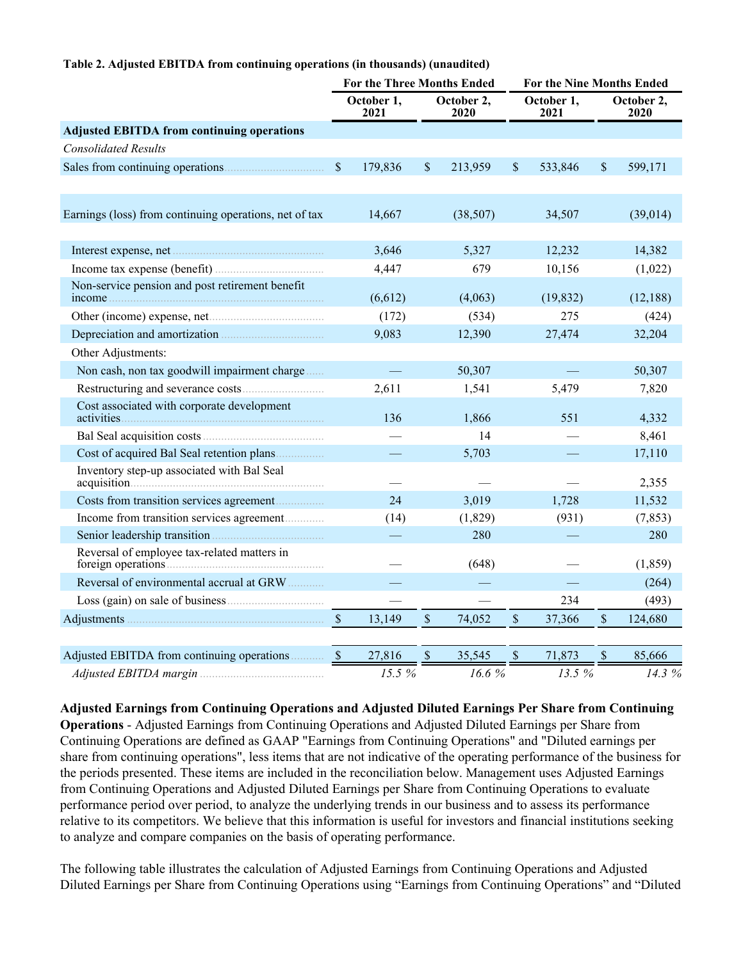#### **Table 2. Adjusted EBITDA from continuing operations (in thousands) (unaudited)**

|                                                                                                                                                                                                                                     | <b>For the Three Months Ended</b> |         |             |                    |               | <b>For the Nine Months Ended</b> |               |                    |  |  |  |
|-------------------------------------------------------------------------------------------------------------------------------------------------------------------------------------------------------------------------------------|-----------------------------------|---------|-------------|--------------------|---------------|----------------------------------|---------------|--------------------|--|--|--|
|                                                                                                                                                                                                                                     | October 1,<br>2021                |         |             | October 2,<br>2020 |               | October 1,<br>2021               |               | October 2,<br>2020 |  |  |  |
| <b>Adjusted EBITDA from continuing operations</b>                                                                                                                                                                                   |                                   |         |             |                    |               |                                  |               |                    |  |  |  |
| <b>Consolidated Results</b>                                                                                                                                                                                                         |                                   |         |             |                    |               |                                  |               |                    |  |  |  |
|                                                                                                                                                                                                                                     | $\mathbb{S}$                      | 179,836 | \$          | 213,959            | $\mathsf{\$}$ | 533,846                          | $\mathcal{S}$ | 599,171            |  |  |  |
| Earnings (loss) from continuing operations, net of tax                                                                                                                                                                              |                                   | 14,667  |             | (38, 507)          |               | 34,507                           |               | (39, 014)          |  |  |  |
| Interest expense, net                                                                                                                                                                                                               |                                   | 3,646   |             | 5,327              |               | 12,232                           |               | 14,382             |  |  |  |
|                                                                                                                                                                                                                                     |                                   | 4,447   |             | 679                |               | 10,156                           |               | (1,022)            |  |  |  |
| Non-service pension and post retirement benefit                                                                                                                                                                                     |                                   | (6,612) |             | (4,063)            |               | (19, 832)                        |               | (12, 188)          |  |  |  |
|                                                                                                                                                                                                                                     |                                   | (172)   |             | (534)              |               | 275                              |               | (424)              |  |  |  |
| Depreciation and amortization <b>manufacture</b> of the property of the property of the property of the property of the property of the property of the property of the property of the property of the property of the property of |                                   | 9,083   |             | 12,390             |               | 27,474                           |               | 32,204             |  |  |  |
| Other Adjustments:                                                                                                                                                                                                                  |                                   |         |             |                    |               |                                  |               |                    |  |  |  |
| Non cash, non tax goodwill impairment charge                                                                                                                                                                                        |                                   |         |             | 50,307             |               |                                  |               | 50,307             |  |  |  |
|                                                                                                                                                                                                                                     |                                   | 2,611   |             | 1,541              |               | 5,479                            |               | 7,820              |  |  |  |
| Cost associated with corporate development                                                                                                                                                                                          |                                   | 136     |             | 1,866              |               | 551                              |               | 4,332              |  |  |  |
|                                                                                                                                                                                                                                     |                                   |         |             | 14                 |               |                                  |               | 8,461              |  |  |  |
| Cost of acquired Bal Seal retention plans                                                                                                                                                                                           |                                   |         |             | 5,703              |               |                                  |               | 17,110             |  |  |  |
| Inventory step-up associated with Bal Seal                                                                                                                                                                                          |                                   |         |             |                    |               |                                  |               | 2,355              |  |  |  |
| Costs from transition services agreement                                                                                                                                                                                            |                                   | 24      |             | 3,019              |               | 1,728                            |               | 11,532             |  |  |  |
| Income from transition services agreement                                                                                                                                                                                           |                                   | (14)    |             | (1,829)            |               | (931)                            |               | (7, 853)           |  |  |  |
|                                                                                                                                                                                                                                     |                                   |         |             | 280                |               |                                  |               | 280                |  |  |  |
| Reversal of employee tax-related matters in                                                                                                                                                                                         |                                   |         |             | (648)              |               |                                  |               | (1, 859)           |  |  |  |
| Reversal of environmental accrual at GRW                                                                                                                                                                                            |                                   |         |             |                    |               |                                  |               | (264)              |  |  |  |
|                                                                                                                                                                                                                                     |                                   |         |             |                    |               | 234                              |               | (493)              |  |  |  |
|                                                                                                                                                                                                                                     | $\mathcal{S}$                     | 13,149  | $\mathbb S$ | 74,052             | $\mathsf{\$}$ | 37,366                           | $\mathcal{S}$ | 124,680            |  |  |  |
|                                                                                                                                                                                                                                     |                                   |         |             |                    |               |                                  |               |                    |  |  |  |
| Adjusted EBITDA from continuing operations                                                                                                                                                                                          | $\mathcal{S}$                     | 27,816  | \$          | 35,545             | $\mathbb S$   | 71,873                           | \$            | 85,666             |  |  |  |
| Adjusted EBITDA margin                                                                                                                                                                                                              |                                   | 15.5 %  |             | 16.6%              |               | 13.5 %                           |               | 14.3 %             |  |  |  |

**Adjusted Earnings from Continuing Operations and Adjusted Diluted Earnings Per Share from Continuing Operations** - Adjusted Earnings from Continuing Operations and Adjusted Diluted Earnings per Share from Continuing Operations are defined as GAAP "Earnings from Continuing Operations" and "Diluted earnings per share from continuing operations", less items that are not indicative of the operating performance of the business for the periods presented. These items are included in the reconciliation below. Management uses Adjusted Earnings from Continuing Operations and Adjusted Diluted Earnings per Share from Continuing Operations to evaluate performance period over period, to analyze the underlying trends in our business and to assess its performance relative to its competitors. We believe that this information is useful for investors and financial institutions seeking to analyze and compare companies on the basis of operating performance.

The following table illustrates the calculation of Adjusted Earnings from Continuing Operations and Adjusted Diluted Earnings per Share from Continuing Operations using "Earnings from Continuing Operations" and "Diluted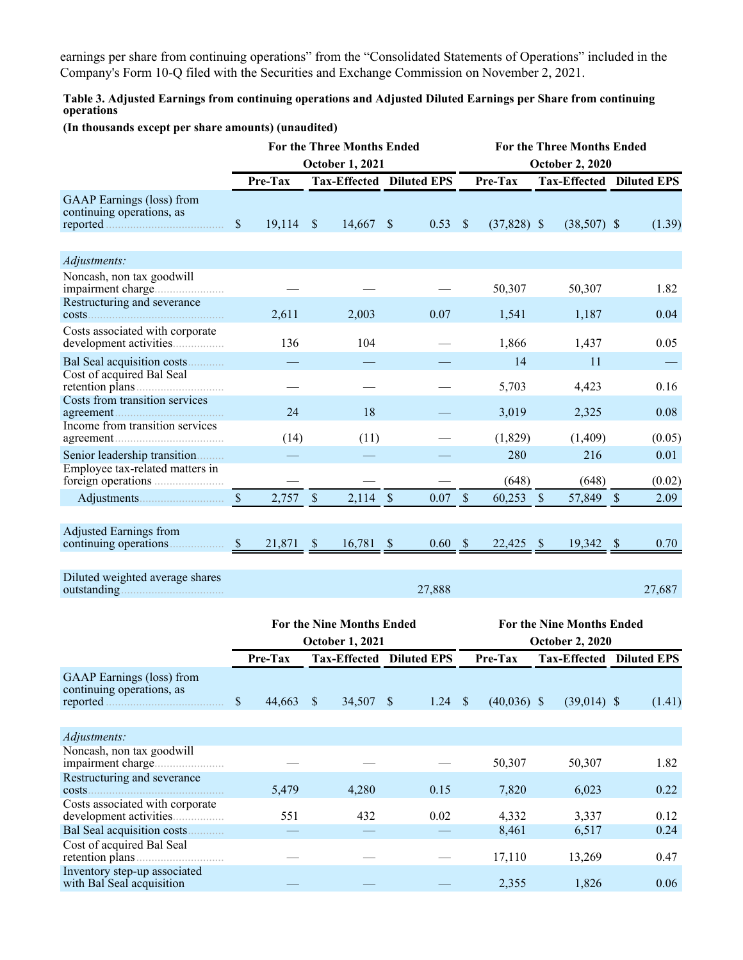earnings per share from continuing operations" from the "Consolidated Statements of Operations" included in the Company's Form 10-Q filed with the Securities and Exchange Commission on November 2, 2021.

**Table 3. Adjusted Earnings from continuing operations and Adjusted Diluted Earnings per Share from continuing operations**

#### **(In thousands except per share amounts) (unaudited)**

|                                                               |               |             |               | <b>For the Three Months Ended</b><br><b>October 1, 2021</b> |               |        | <b>For the Three Months Ended</b><br><b>October 2, 2020</b> |               |               |                                 |  |        |  |
|---------------------------------------------------------------|---------------|-------------|---------------|-------------------------------------------------------------|---------------|--------|-------------------------------------------------------------|---------------|---------------|---------------------------------|--|--------|--|
|                                                               |               | Pre-Tax     |               | Tax-Effected Diluted EPS                                    |               |        |                                                             | Pre-Tax       |               | <b>Tax-Effected Diluted EPS</b> |  |        |  |
| <b>GAAP</b> Earnings (loss) from<br>continuing operations, as | $\mathsf{\$}$ | $19,114$ \$ |               | 14,667                                                      | $\mathcal{S}$ | 0.53   | $\sqrt{\ }$                                                 | $(37,828)$ \$ |               | $(38,507)$ \$                   |  | (1.39) |  |
| Adjustments:                                                  |               |             |               |                                                             |               |        |                                                             |               |               |                                 |  |        |  |
| Noncash, non tax goodwill<br>Restructuring and severance      |               |             |               |                                                             |               |        |                                                             | 50,307        |               | 50,307                          |  | 1.82   |  |
|                                                               |               | 2,611       |               | 2,003                                                       |               | 0.07   |                                                             | 1,541         |               | 1,187                           |  | 0.04   |  |
| Costs associated with corporate                               |               | 136         |               | 104                                                         |               |        |                                                             | 1,866         |               | 1,437                           |  | 0.05   |  |
| Bal Seal acquisition costs                                    |               |             |               |                                                             |               |        |                                                             | 14            |               | 11                              |  |        |  |
| Cost of acquired Bal Seal<br>Costs from transition services   |               |             |               |                                                             |               |        |                                                             | 5,703         |               | 4,423                           |  | 0.16   |  |
|                                                               |               | 24          |               | 18                                                          |               |        |                                                             | 3,019         |               | 2,325                           |  | 0.08   |  |
| Income from transition services                               |               | (14)        |               | (11)                                                        |               |        |                                                             | (1,829)       |               | (1,409)                         |  | (0.05) |  |
| Senior leadership transition                                  |               |             |               |                                                             |               |        |                                                             | 280           |               | 216                             |  | 0.01   |  |
| Employee tax-related matters in                               |               |             |               |                                                             |               |        |                                                             | (648)         |               | (648)                           |  | (0.02) |  |
|                                                               | $\mathcal{S}$ | 2,757       | $\mathcal{S}$ | 2,114                                                       | $\sqrt{\ }$   | 0.07   | $\mathbf{\hat{s}}$                                          | 60,253        | $\mathcal{S}$ | 57,849 \$                       |  | 2.09   |  |
|                                                               |               |             |               |                                                             |               |        |                                                             |               |               |                                 |  |        |  |
| <b>Adjusted Earnings from</b>                                 | <sup>S</sup>  | 21,871      | $\mathcal{S}$ | $16,781$ \$                                                 |               | 0.60   | $\mathcal{S}$                                               | $22,425$ \$   |               | $19,342$ \$                     |  | 0.70   |  |
|                                                               |               |             |               |                                                             |               |        |                                                             |               |               |                                 |  |        |  |
| Diluted weighted average shares<br>outstanding.               |               |             |               |                                                             |               | 27,888 |                                                             |               |               |                                 |  | 27,687 |  |

|                                                                    |              | <b>For the Nine Months Ended</b><br><b>October 1, 2021</b> |                        |    |                    |         |               | <b>For the Nine Months Ended</b><br><b>October 2, 2020</b> |        |  |  |  |  |  |
|--------------------------------------------------------------------|--------------|------------------------------------------------------------|------------------------|----|--------------------|---------|---------------|------------------------------------------------------------|--------|--|--|--|--|--|
|                                                                    | Pre-Tax      |                                                            | <b>Tax-Effected</b>    |    | <b>Diluted EPS</b> | Pre-Tax |               | <b>Tax-Effected</b><br><b>Diluted EPS</b>                  |        |  |  |  |  |  |
| GAAP Earnings (loss) from<br>continuing operations, as<br>reported | 44,663<br>S. |                                                            | 34,507<br><sup>S</sup> | -S | 1.24               | -S      | $(40,036)$ \$ | $(39,014)$ \$                                              | (1.41) |  |  |  |  |  |
| Adjustments:                                                       |              |                                                            |                        |    |                    |         |               |                                                            |        |  |  |  |  |  |
| Noncash, non tax goodwill                                          |              |                                                            |                        |    |                    |         | 50,307        | 50,307                                                     | 1.82   |  |  |  |  |  |
| Restructuring and severance<br>$costs$ .                           | 5,479        |                                                            | 4,280                  |    | 0.15               |         | 7,820         | 6,023                                                      | 0.22   |  |  |  |  |  |
| Costs associated with corporate                                    |              | 551                                                        | 432                    |    | 0.02               |         | 4,332         | 3,337                                                      | 0.12   |  |  |  |  |  |
| Bal Seal acquisition costs<br>.                                    |              |                                                            |                        |    |                    |         | 8,461         | 6,517                                                      | 0.24   |  |  |  |  |  |
| Cost of acquired Bal Seal                                          |              |                                                            |                        |    |                    |         | 17,110        | 13,269                                                     | 0.47   |  |  |  |  |  |
| Inventory step-up associated<br>with Bal Seal acquisition          |              |                                                            |                        |    |                    |         | 2,355         | 1,826                                                      | 0.06   |  |  |  |  |  |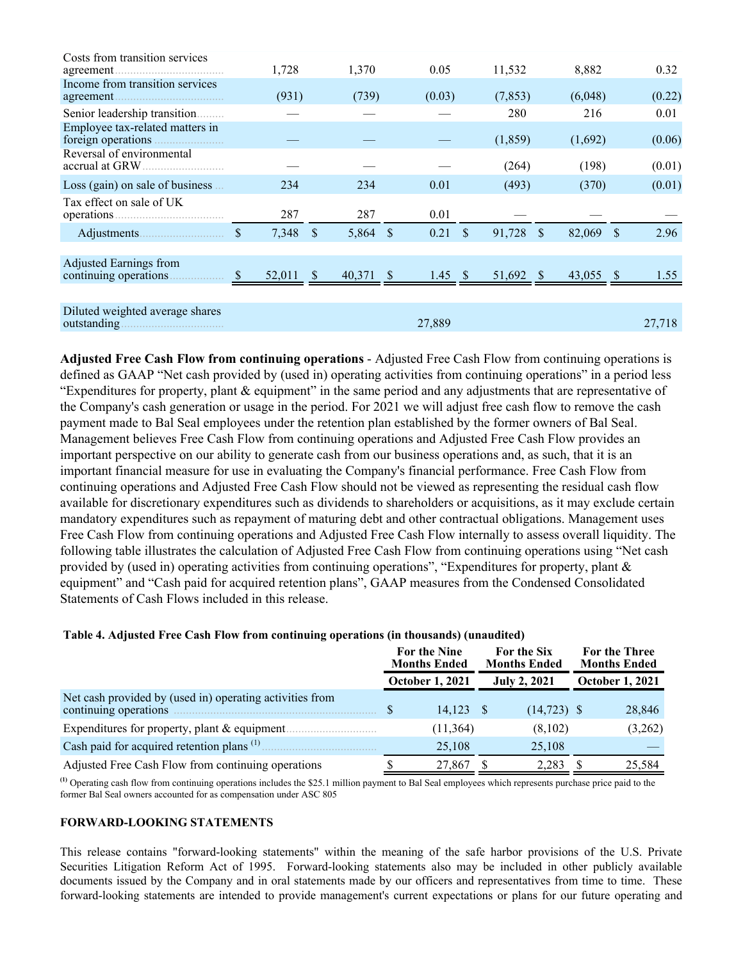| Costs from transition services<br>agreement     | 1,728       |               | 1,370  |              | 0.05            |          | 11,532    | 8,882        |           |        | 0.32   |
|-------------------------------------------------|-------------|---------------|--------|--------------|-----------------|----------|-----------|--------------|-----------|--------|--------|
| Income from transition services                 | (931)       |               | (739)  |              | (0.03)          | (7, 853) |           | (6,048)      |           | (0.22) |        |
| Senior leadership transition                    |             |               |        |              |                 |          | 280       |              | 216       |        | 0.01   |
| Employee tax-related matters in                 |             |               |        |              |                 |          | (1, 859)  |              | (1,692)   |        | (0.06) |
| Reversal of environmental                       |             |               |        |              |                 |          | (264)     |              | (198)     |        | (0.01) |
| Loss (gain) on sale of business                 | 234         |               | 234    |              | 0.01            |          | (493)     |              | (370)     |        | (0.01) |
| Tax effect on sale of UK                        | 287         |               | 287    |              | 0.01            |          |           |              |           |        |        |
|                                                 | \$<br>7,348 | <sup>\$</sup> | 5,864  | <sup>S</sup> | 0.21            | <b>S</b> | 91,728    | <sup>S</sup> | 82,069    | - \$   | 2.96   |
|                                                 |             |               |        |              |                 |          |           |              |           |        |        |
| Adjusted Earnings from                          | 52,011 \$   |               | 40,371 | -S           | 1.45 $\sqrt{s}$ |          | 51,692 \$ |              | 43,055 \$ |        | 1.55   |
|                                                 |             |               |        |              |                 |          |           |              |           |        |        |
| Diluted weighted average shares<br>outstanding. |             |               |        |              | 27,889          |          |           |              |           |        | 27,718 |

**Adjusted Free Cash Flow from continuing operations** - Adjusted Free Cash Flow from continuing operations is defined as GAAP "Net cash provided by (used in) operating activities from continuing operations" in a period less "Expenditures for property, plant & equipment" in the same period and any adjustments that are representative of the Company's cash generation or usage in the period. For 2021 we will adjust free cash flow to remove the cash payment made to Bal Seal employees under the retention plan established by the former owners of Bal Seal. Management believes Free Cash Flow from continuing operations and Adjusted Free Cash Flow provides an important perspective on our ability to generate cash from our business operations and, as such, that it is an important financial measure for use in evaluating the Company's financial performance. Free Cash Flow from continuing operations and Adjusted Free Cash Flow should not be viewed as representing the residual cash flow available for discretionary expenditures such as dividends to shareholders or acquisitions, as it may exclude certain mandatory expenditures such as repayment of maturing debt and other contractual obligations. Management uses Free Cash Flow from continuing operations and Adjusted Free Cash Flow internally to assess overall liquidity. The following table illustrates the calculation of Adjusted Free Cash Flow from continuing operations using "Net cash provided by (used in) operating activities from continuing operations", "Expenditures for property, plant & equipment" and "Cash paid for acquired retention plans", GAAP measures from the Condensed Consolidated Statements of Cash Flows included in this release.

#### **Table 4. Adjusted Free Cash Flow from continuing operations (in thousands) (unaudited)**

|                                                                                   | For the Nine<br><b>Months Ended</b> | For the Six<br><b>Months Ended</b> | <b>For the Three</b><br><b>Months Ended</b> |
|-----------------------------------------------------------------------------------|-------------------------------------|------------------------------------|---------------------------------------------|
|                                                                                   | <b>October 1, 2021</b>              | <b>July 2, 2021</b>                | <b>October 1, 2021</b>                      |
| Net cash provided by (used in) operating activities from<br>continuing operations | 14.123                              | $(14, 723)$ \$                     | 28,846                                      |
| Expenditures for property, plant $&$ equipment.                                   | (11, 364)                           | (8,102)                            | (3,262)                                     |
| Cash paid for acquired retention plans <sup>(1)</sup>                             | 25,108                              | 25,108                             |                                             |
| Adjusted Free Cash Flow from continuing operations                                | 27,867                              | 2,283                              | 25,584                                      |

**(1)** Operating cash flow from continuing operations includes the \$25.1 million payment to Bal Seal employees which represents purchase price paid to the former Bal Seal owners accounted for as compensation under ASC 805

#### **FORWARD-LOOKING STATEMENTS**

This release contains "forward-looking statements" within the meaning of the safe harbor provisions of the U.S. Private Securities Litigation Reform Act of 1995. Forward-looking statements also may be included in other publicly available documents issued by the Company and in oral statements made by our officers and representatives from time to time. These forward-looking statements are intended to provide management's current expectations or plans for our future operating and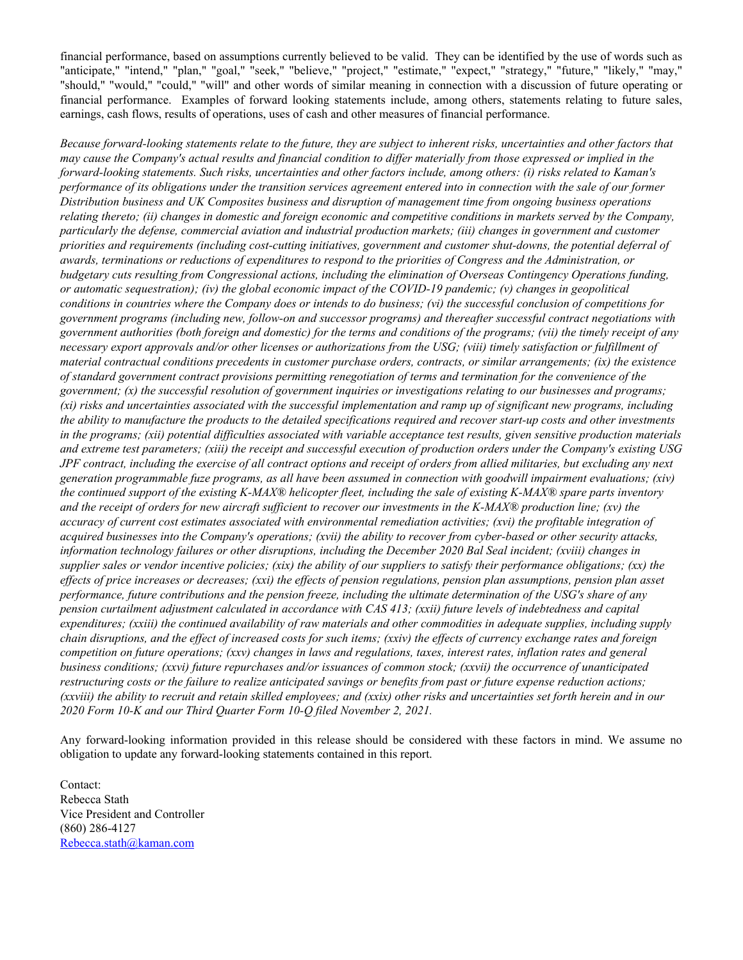financial performance, based on assumptions currently believed to be valid. They can be identified by the use of words such as "anticipate," "intend," "plan," "goal," "seek," "believe," "project," "estimate," "expect," "strategy," "future," "likely," "may," "should," "would," "could," "will" and other words of similar meaning in connection with a discussion of future operating or financial performance. Examples of forward looking statements include, among others, statements relating to future sales, earnings, cash flows, results of operations, uses of cash and other measures of financial performance.

*Because forward-looking statements relate to the future, they are subject to inherent risks, uncertainties and other factors that may cause the Company's actual results and financial condition to differ materially from those expressed or implied in the forward-looking statements. Such risks, uncertainties and other factors include, among others: (i) risks related to Kaman's performance of its obligations under the transition services agreement entered into in connection with the sale of our former Distribution business and UK Composites business and disruption of management time from ongoing business operations relating thereto; (ii) changes in domestic and foreign economic and competitive conditions in markets served by the Company, particularly the defense, commercial aviation and industrial production markets; (iii) changes in government and customer priorities and requirements (including cost-cutting initiatives, government and customer shut-downs, the potential deferral of awards, terminations or reductions of expenditures to respond to the priorities of Congress and the Administration, or budgetary cuts resulting from Congressional actions, including the elimination of Overseas Contingency Operations funding, or automatic sequestration); (iv) the global economic impact of the COVID-19 pandemic; (v) changes in geopolitical conditions in countries where the Company does or intends to do business; (vi) the successful conclusion of competitions for government programs (including new, follow-on and successor programs) and thereafter successful contract negotiations with government authorities (both foreign and domestic) for the terms and conditions of the programs; (vii) the timely receipt of any necessary export approvals and/or other licenses or authorizations from the USG; (viii) timely satisfaction or fulfillment of material contractual conditions precedents in customer purchase orders, contracts, or similar arrangements; (ix) the existence of standard government contract provisions permitting renegotiation of terms and termination for the convenience of the government; (x) the successful resolution of government inquiries or investigations relating to our businesses and programs; (xi) risks and uncertainties associated with the successful implementation and ramp up of significant new programs, including the ability to manufacture the products to the detailed specifications required and recover start-up costs and other investments in the programs; (xii) potential difficulties associated with variable acceptance test results, given sensitive production materials and extreme test parameters; (xiii) the receipt and successful execution of production orders under the Company's existing USG JPF contract, including the exercise of all contract options and receipt of orders from allied militaries, but excluding any next generation programmable fuze programs, as all have been assumed in connection with goodwill impairment evaluations; (xiv) the continued support of the existing K-MAX® helicopter fleet, including the sale of existing K-MAX® spare parts inventory and the receipt of orders for new aircraft sufficient to recover our investments in the K-MAX® production line; (xv) the accuracy of current cost estimates associated with environmental remediation activities; (xvi) the profitable integration of acquired businesses into the Company's operations; (xvii) the ability to recover from cyber-based or other security attacks, information technology failures or other disruptions, including the December 2020 Bal Seal incident; (xviii) changes in supplier sales or vendor incentive policies; (xix) the ability of our suppliers to satisfy their performance obligations; (xx) the effects of price increases or decreases; (xxi) the effects of pension regulations, pension plan assumptions, pension plan asset performance, future contributions and the pension freeze, including the ultimate determination of the USG's share of any pension curtailment adjustment calculated in accordance with CAS 413; (xxii) future levels of indebtedness and capital expenditures; (xxiii) the continued availability of raw materials and other commodities in adequate supplies, including supply chain disruptions, and the effect of increased costs for such items; (xxiv) the effects of currency exchange rates and foreign competition on future operations; (xxv) changes in laws and regulations, taxes, interest rates, inflation rates and general business conditions; (xxvi) future repurchases and/or issuances of common stock; (xxvii) the occurrence of unanticipated restructuring costs or the failure to realize anticipated savings or benefits from past or future expense reduction actions; (xxviii) the ability to recruit and retain skilled employees; and (xxix) other risks and uncertainties set forth herein and in our 2020 Form 10-K and our Third Quarter Form 10-Q filed November 2, 2021.*

Any forward-looking information provided in this release should be considered with these factors in mind. We assume no obligation to update any forward-looking statements contained in this report.

Contact: Rebecca Stath Vice President and Controller (860) 286-4127 Rebecca.stath@kaman.com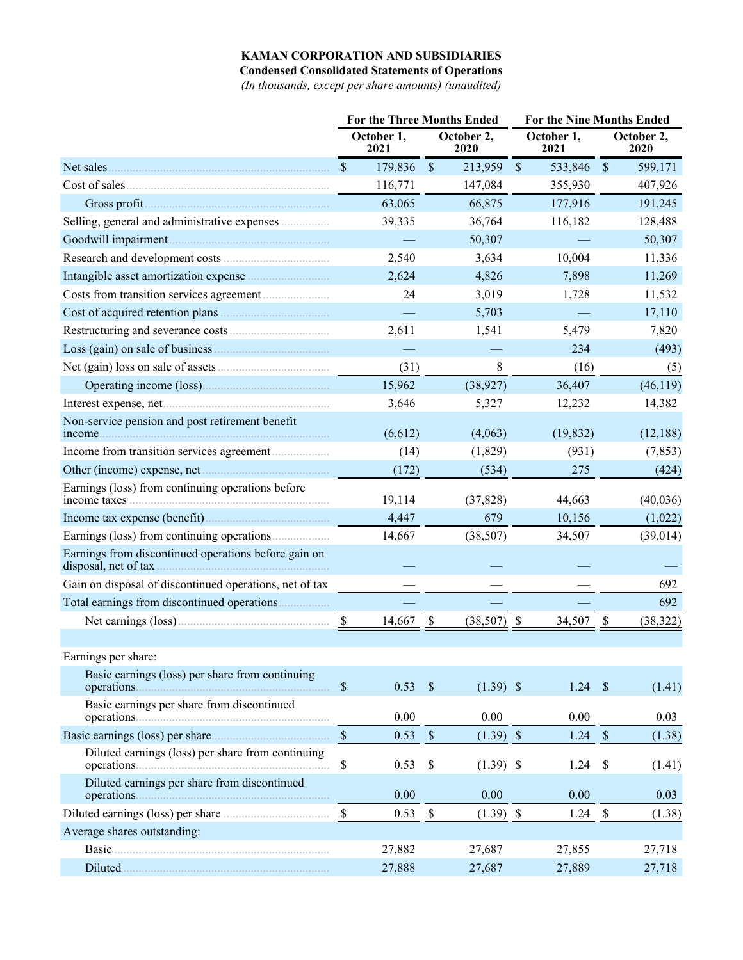## **KAMAN CORPORATION AND SUBSIDIARIES**

**Condensed Consolidated Statements of Operations**

*(In thousands, except per share amounts) (unaudited)*

|                                                                                                                                                                                                                                      | <b>For the Three Months Ended</b> |                    |               | <b>For the Nine Months Ended</b> |               |                    |               |                    |  |
|--------------------------------------------------------------------------------------------------------------------------------------------------------------------------------------------------------------------------------------|-----------------------------------|--------------------|---------------|----------------------------------|---------------|--------------------|---------------|--------------------|--|
|                                                                                                                                                                                                                                      |                                   | October 1,<br>2021 |               | October 2,<br>2020               |               | October 1,<br>2021 |               | October 2,<br>2020 |  |
| Net sales                                                                                                                                                                                                                            | \$                                | 179,836            | $\mathcal{S}$ | 213,959                          | $\mathcal{S}$ | 533,846            | $\mathcal{S}$ | 599,171            |  |
| Cost of sales                                                                                                                                                                                                                        |                                   | 116,771            |               | 147,084                          |               | 355,930            |               | 407,926            |  |
|                                                                                                                                                                                                                                      |                                   | 63,065             |               | 66,875                           |               | 177,916            |               | 191,245            |  |
| Selling, general and administrative expenses                                                                                                                                                                                         |                                   | 39,335             |               | 36,764                           |               | 116,182            |               | 128,488            |  |
|                                                                                                                                                                                                                                      |                                   |                    |               | 50,307                           |               |                    |               | 50,307             |  |
|                                                                                                                                                                                                                                      |                                   | 2,540              |               | 3,634                            |               | 10,004             |               | 11,336             |  |
|                                                                                                                                                                                                                                      |                                   | 2,624              |               | 4,826                            |               | 7,898              |               | 11,269             |  |
|                                                                                                                                                                                                                                      |                                   | 24                 |               | 3,019                            |               | 1,728              |               | 11,532             |  |
| Cost of acquired retention plans                                                                                                                                                                                                     |                                   |                    |               | 5,703                            |               |                    |               | 17,110             |  |
|                                                                                                                                                                                                                                      |                                   | 2,611              |               | 1,541                            |               | 5,479              |               | 7,820              |  |
|                                                                                                                                                                                                                                      |                                   |                    |               |                                  |               | 234                |               | (493)              |  |
|                                                                                                                                                                                                                                      |                                   | (31)               |               | 8                                |               | (16)               |               | (5)                |  |
| Operating income (loss)                                                                                                                                                                                                              |                                   | 15,962             |               | (38, 927)                        |               | 36,407             |               | (46, 119)          |  |
|                                                                                                                                                                                                                                      |                                   | 3,646              |               | 5,327                            |               | 12,232             |               | 14,382             |  |
| Non-service pension and post retirement benefit<br>income.                                                                                                                                                                           |                                   | (6,612)            |               | (4,063)                          |               | (19, 832)          |               | (12, 188)          |  |
|                                                                                                                                                                                                                                      |                                   | (14)               |               | (1,829)                          |               | (931)              |               | (7, 853)           |  |
|                                                                                                                                                                                                                                      |                                   | (172)              |               | (534)                            |               | 275                |               | (424)              |  |
| Earnings (loss) from continuing operations before                                                                                                                                                                                    |                                   | 19,114             |               | (37, 828)                        |               | 44,663             |               | (40,036)           |  |
|                                                                                                                                                                                                                                      |                                   | 4,447              |               | 679                              |               | 10,156             |               | (1,022)            |  |
|                                                                                                                                                                                                                                      |                                   | 14,667             |               | (38, 507)                        |               | 34,507             |               | (39, 014)          |  |
| Earnings from discontinued operations before gain on<br>disposal, net of tax.                                                                                                                                                        |                                   |                    |               |                                  |               |                    |               |                    |  |
| Gain on disposal of discontinued operations, net of tax                                                                                                                                                                              |                                   |                    |               |                                  |               |                    |               | 692                |  |
|                                                                                                                                                                                                                                      |                                   |                    |               |                                  |               |                    |               | 692                |  |
|                                                                                                                                                                                                                                      | $\boldsymbol{\mathsf{S}}$         | 14,667             | \$            | (38, 507)                        | \$            | 34,507             | \$            | (38, 322)          |  |
|                                                                                                                                                                                                                                      |                                   |                    |               |                                  |               |                    |               |                    |  |
| Earnings per share:                                                                                                                                                                                                                  |                                   |                    |               |                                  |               |                    |               |                    |  |
| Basic earnings (loss) per share from continuing                                                                                                                                                                                      | $\mathbb S$                       | $0.53$ \$          |               | $(1.39)$ \$                      |               | 1.24               | $\mathcal{S}$ | (1.41)             |  |
| Basic earnings per share from discontinued                                                                                                                                                                                           |                                   | 0.00               |               | 0.00                             |               | 0.00               |               | 0.03               |  |
|                                                                                                                                                                                                                                      | $\mathcal{S}$                     | 0.53               | $\mathbb{S}$  | $(1.39)$ \$                      |               | 1.24               | $\mathcal{S}$ | (1.38)             |  |
| Diluted earnings (loss) per share from continuing                                                                                                                                                                                    | \$                                | 0.53               | \$            | $(1.39)$ \$                      |               | 1.24               | \$            | (1.41)             |  |
| Diluted earnings per share from discontinued                                                                                                                                                                                         |                                   | 0.00               |               | 0.00                             |               | 0.00               |               | 0.03               |  |
|                                                                                                                                                                                                                                      | $\mathbb{S}$                      | 0.53               | $\mathbb{S}$  | $(1.39)$ \$                      |               | 1.24               | $\mathbb{S}$  | (1.38)             |  |
| Average shares outstanding:                                                                                                                                                                                                          |                                   |                    |               |                                  |               |                    |               |                    |  |
|                                                                                                                                                                                                                                      |                                   | 27,882             |               | 27,687                           |               | 27,855             |               | 27,718             |  |
| Diluted <u>manual contract of the set of the set of the set of the set of the set of the set of the set of the set of the set of the set of the set of the set of the set of the set of the set of the set of the set of the set</u> |                                   | 27,888             |               | 27,687                           |               | 27,889             |               | 27,718             |  |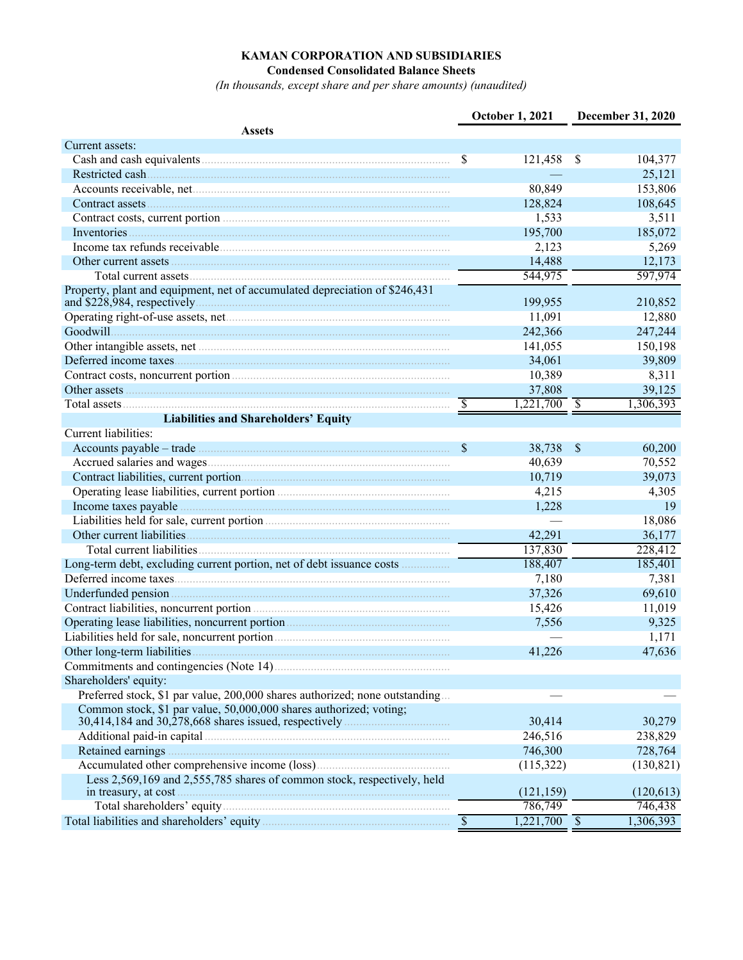# **KAMAN CORPORATION AND SUBSIDIARIES**

**Condensed Consolidated Balance Sheets**

*(In thousands, except share and per share amounts) (unaudited)*

|                                                                                                                                                                                                                                                                              |                          | <b>October 1, 2021</b>    |               | <b>December 31, 2020</b> |
|------------------------------------------------------------------------------------------------------------------------------------------------------------------------------------------------------------------------------------------------------------------------------|--------------------------|---------------------------|---------------|--------------------------|
| <b>Assets</b>                                                                                                                                                                                                                                                                |                          |                           |               |                          |
| Current assets:                                                                                                                                                                                                                                                              |                          |                           |               |                          |
|                                                                                                                                                                                                                                                                              | $\mathcal{S}$            | 121,458 \$                |               | 104,377                  |
|                                                                                                                                                                                                                                                                              |                          |                           |               | 25,121                   |
|                                                                                                                                                                                                                                                                              |                          | 80,849                    |               | 153,806                  |
| Contract assets <b>Manual</b> Contract assets <b>Manual</b> Contract assets <b>Manual</b> Contract assets <b>Manual</b> Contract assets <b>Manual</b> Contract assets <b>Manual</b> Contract assets <b>Manual</b> Contract assets <b>Manual</b> Contract assets <b>Manua</b> |                          | 128,824                   |               | 108,645                  |
| Contract costs, current portion                                                                                                                                                                                                                                              |                          | 1,533                     |               | 3,511                    |
|                                                                                                                                                                                                                                                                              |                          | 195,700                   |               | 185,072                  |
|                                                                                                                                                                                                                                                                              |                          | 2,123                     |               | 5,269                    |
|                                                                                                                                                                                                                                                                              |                          | 14,488                    |               | 12,173                   |
|                                                                                                                                                                                                                                                                              |                          | 544,975                   |               | 597,974                  |
| Property, plant and equipment, net of accumulated depreciation of \$246,431                                                                                                                                                                                                  |                          | 199,955                   |               | 210,852                  |
|                                                                                                                                                                                                                                                                              |                          | 11,091                    |               | 12,880                   |
|                                                                                                                                                                                                                                                                              |                          | 242,366                   |               | 247,244                  |
|                                                                                                                                                                                                                                                                              |                          | 141,055                   |               | 150,198                  |
|                                                                                                                                                                                                                                                                              |                          | 34,061                    |               | 39,809                   |
|                                                                                                                                                                                                                                                                              |                          | 10,389                    |               | 8,311                    |
|                                                                                                                                                                                                                                                                              |                          | 37,808                    |               | 39,125                   |
|                                                                                                                                                                                                                                                                              | $\mathbb{S}$             | $1,221,700$ \$            |               | 1,306,393                |
| <b>Liabilities and Shareholders' Equity</b>                                                                                                                                                                                                                                  |                          |                           |               |                          |
| Current liabilities:                                                                                                                                                                                                                                                         |                          |                           |               |                          |
|                                                                                                                                                                                                                                                                              | $\sqrt{3}$               | 38,738                    | $\mathcal{S}$ | 60,200                   |
|                                                                                                                                                                                                                                                                              |                          | 40,639                    |               | 70,552                   |
|                                                                                                                                                                                                                                                                              |                          | 10,719                    |               | 39,073                   |
|                                                                                                                                                                                                                                                                              |                          | 4,215                     |               | 4,305                    |
|                                                                                                                                                                                                                                                                              |                          | 1,228                     |               | 19                       |
| Liabilities held for sale, current portion                                                                                                                                                                                                                                   |                          |                           |               | 18,086                   |
|                                                                                                                                                                                                                                                                              |                          | 42,291                    |               | 36,177                   |
|                                                                                                                                                                                                                                                                              |                          | 137,830                   |               | 228,412                  |
| Long-term debt, excluding current portion, net of debt issuance costs                                                                                                                                                                                                        |                          | 188,407                   |               | 185,401                  |
|                                                                                                                                                                                                                                                                              |                          | 7,180                     |               | 7,381                    |
|                                                                                                                                                                                                                                                                              |                          | 37,326                    |               | 69,610                   |
|                                                                                                                                                                                                                                                                              |                          | 15,426                    |               | 11,019                   |
|                                                                                                                                                                                                                                                                              |                          | 7,556                     |               | 9,325                    |
|                                                                                                                                                                                                                                                                              |                          |                           |               | 1,171                    |
|                                                                                                                                                                                                                                                                              |                          | 41,226                    |               | 47,636                   |
|                                                                                                                                                                                                                                                                              |                          |                           |               |                          |
| Shareholders' equity:                                                                                                                                                                                                                                                        |                          |                           |               |                          |
| Preferred stock, \$1 par value, 200,000 shares authorized; none outstanding                                                                                                                                                                                                  |                          |                           |               |                          |
| Common stock, \$1 par value, 50,000,000 shares authorized; voting;                                                                                                                                                                                                           |                          |                           |               |                          |
|                                                                                                                                                                                                                                                                              |                          | 30,414                    |               | 30,279                   |
| Additional paid-in capital material and the state of the capital material and a state of the state of the state of the state of the state of the state of the state of the state of the state of the state of the state of the                                               |                          | 246,516                   |               | 238,829                  |
|                                                                                                                                                                                                                                                                              |                          | 746,300                   |               | 728,764                  |
|                                                                                                                                                                                                                                                                              |                          | (115,322)                 |               | (130, 821)               |
| Less 2,569,169 and 2,555,785 shares of common stock, respectively, held                                                                                                                                                                                                      |                          | (121, 159)                |               | (120, 613)               |
|                                                                                                                                                                                                                                                                              |                          | 786,749                   |               | 746,438                  |
|                                                                                                                                                                                                                                                                              | $\overline{\mathcal{S}}$ | $\overline{1,221,700}$ \$ |               | 1,306,393                |